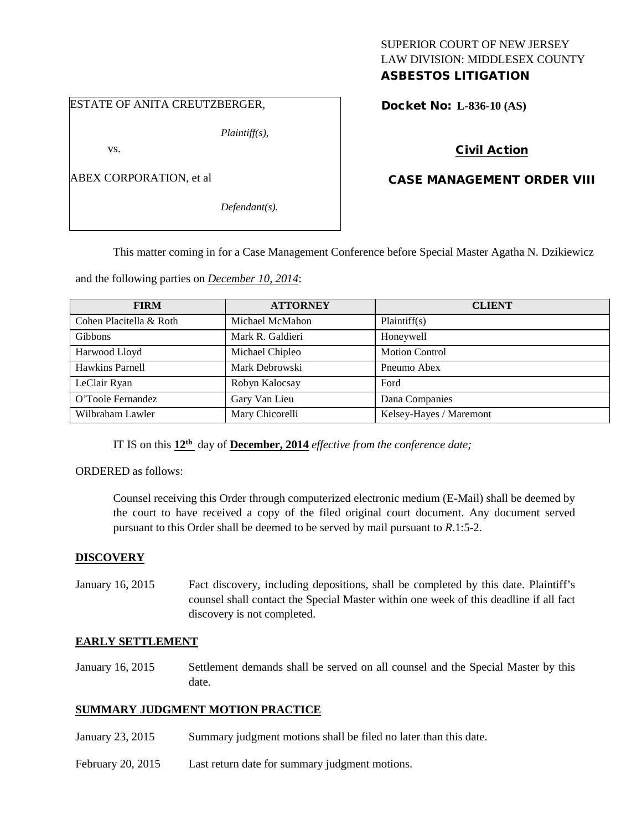# SUPERIOR COURT OF NEW JERSEY LAW DIVISION: MIDDLESEX COUNTY

## ASBESTOS LITIGATION

#### ESTATE OF ANITA CREUTZBERGER,

*Plaintiff(s),*

vs.

ABEX CORPORATION, et al

*Defendant(s).*

Docket No: **L-836-10 (AS)** 

### Civil Action

### CASE MANAGEMENT ORDER VIII

This matter coming in for a Case Management Conference before Special Master Agatha N. Dzikiewicz

and the following parties on *December 10, 2014*:

| <b>FIRM</b>             | <b>ATTORNEY</b>  | <b>CLIENT</b>           |
|-------------------------|------------------|-------------------------|
| Cohen Placitella & Roth | Michael McMahon  | Plaintiff(s)            |
| <b>Gibbons</b>          | Mark R. Galdieri | Honeywell               |
| Harwood Lloyd           | Michael Chipleo  | <b>Motion Control</b>   |
| Hawkins Parnell         | Mark Debrowski   | Pneumo Abex             |
| LeClair Ryan            | Robyn Kalocsay   | Ford                    |
| O'Toole Fernandez       | Gary Van Lieu    | Dana Companies          |
| Wilbraham Lawler        | Mary Chicorelli  | Kelsey-Hayes / Maremont |

IT IS on this **12th** day of **December, 2014** *effective from the conference date;*

ORDERED as follows:

Counsel receiving this Order through computerized electronic medium (E-Mail) shall be deemed by the court to have received a copy of the filed original court document. Any document served pursuant to this Order shall be deemed to be served by mail pursuant to *R*.1:5-2.

#### **DISCOVERY**

January 16, 2015 Fact discovery, including depositions, shall be completed by this date. Plaintiff's counsel shall contact the Special Master within one week of this deadline if all fact discovery is not completed.

#### **EARLY SETTLEMENT**

January 16, 2015 Settlement demands shall be served on all counsel and the Special Master by this date.

#### **SUMMARY JUDGMENT MOTION PRACTICE**

- January 23, 2015 Summary judgment motions shall be filed no later than this date.
- February 20, 2015 Last return date for summary judgment motions.